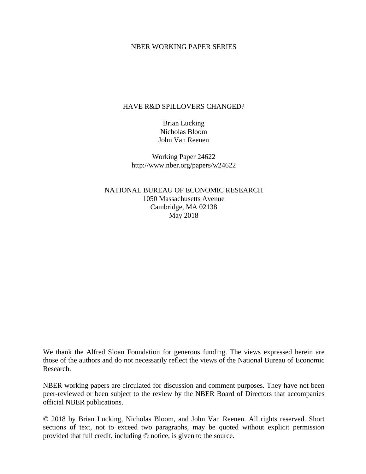#### NBER WORKING PAPER SERIES

### HAVE R&D SPILLOVERS CHANGED?

Brian Lucking Nicholas Bloom John Van Reenen

Working Paper 24622 http://www.nber.org/papers/w24622

NATIONAL BUREAU OF ECONOMIC RESEARCH 1050 Massachusetts Avenue Cambridge, MA 02138 May 2018

We thank the Alfred Sloan Foundation for generous funding. The views expressed herein are those of the authors and do not necessarily reflect the views of the National Bureau of Economic Research.

NBER working papers are circulated for discussion and comment purposes. They have not been peer-reviewed or been subject to the review by the NBER Board of Directors that accompanies official NBER publications.

© 2018 by Brian Lucking, Nicholas Bloom, and John Van Reenen. All rights reserved. Short sections of text, not to exceed two paragraphs, may be quoted without explicit permission provided that full credit, including © notice, is given to the source.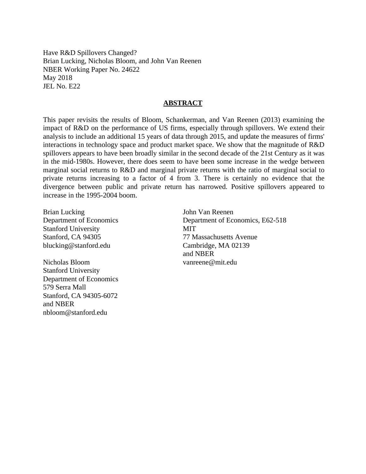Have R&D Spillovers Changed? Brian Lucking, Nicholas Bloom, and John Van Reenen NBER Working Paper No. 24622 May 2018 JEL No. E22

### **ABSTRACT**

This paper revisits the results of Bloom, Schankerman, and Van Reenen (2013) examining the impact of R&D on the performance of US firms, especially through spillovers. We extend their analysis to include an additional 15 years of data through 2015, and update the measures of firms' interactions in technology space and product market space. We show that the magnitude of R&D spillovers appears to have been broadly similar in the second decade of the 21st Century as it was in the mid-1980s. However, there does seem to have been some increase in the wedge between marginal social returns to R&D and marginal private returns with the ratio of marginal social to private returns increasing to a factor of 4 from 3. There is certainly no evidence that the divergence between public and private return has narrowed. Positive spillovers appeared to increase in the 1995-2004 boom.

Brian Lucking Department of Economics Stanford University Stanford, CA 94305 blucking@stanford.edu

Nicholas Bloom Stanford University Department of Economics 579 Serra Mall Stanford, CA 94305-6072 and NBER nbloom@stanford.edu

John Van Reenen Department of Economics, E62-518 MIT 77 Massachusetts Avenue Cambridge, MA 02139 and NBER vanreene@mit.edu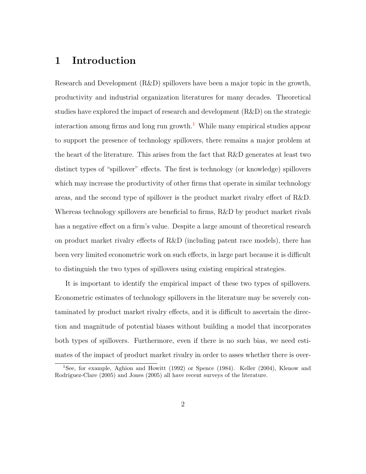## 1 Introduction

Research and Development (R&D) spillovers have been a major topic in the growth, productivity and industrial organization literatures for many decades. Theoretical studies have explored the impact of research and development (R&D) on the strategic interaction among firms and long run growth.<sup>[1](#page-2-0)</sup> While many empirical studies appear to support the presence of technology spillovers, there remains a major problem at the heart of the literature. This arises from the fact that R&D generates at least two distinct types of "spillover" effects. The first is technology (or knowledge) spillovers which may increase the productivity of other firms that operate in similar technology areas, and the second type of spillover is the product market rivalry effect of R&D. Whereas technology spillovers are beneficial to firms, R&D by product market rivals has a negative effect on a firm's value. Despite a large amount of theoretical research on product market rivalry effects of  $R\&D$  (including patent race models), there has been very limited econometric work on such effects, in large part because it is difficult to distinguish the two types of spillovers using existing empirical strategies.

It is important to identify the empirical impact of these two types of spillovers. Econometric estimates of technology spillovers in the literature may be severely contaminated by product market rivalry effects, and it is difficult to ascertain the direction and magnitude of potential biases without building a model that incorporates both types of spillovers. Furthermore, even if there is no such bias, we need estimates of the impact of product market rivalry in order to asses whether there is over-

<span id="page-2-0"></span><sup>&</sup>lt;sup>1</sup>See, for example, Aghion and Howitt (1992) or Spence (1984). Keller (2004), Klenow and Rodriguez-Clare (2005) and Jones (2005) all have recent surveys of the literature.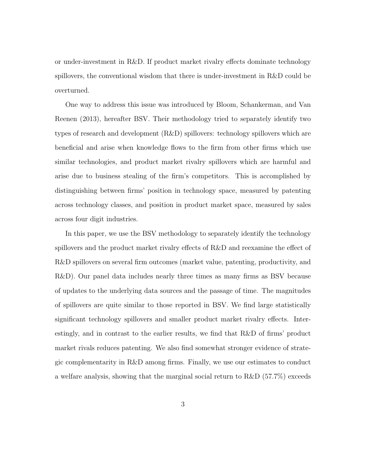or under-investment in R&D. If product market rivalry effects dominate technology spillovers, the conventional wisdom that there is under-investment in R&D could be overturned.

One way to address this issue was introduced by Bloom, Schankerman, and Van Reenen (2013), hereafter BSV. Their methodology tried to separately identify two types of research and development (R&D) spillovers: technology spillovers which are beneficial and arise when knowledge flows to the firm from other firms which use similar technologies, and product market rivalry spillovers which are harmful and arise due to business stealing of the firm's competitors. This is accomplished by distinguishing between firms' position in technology space, measured by patenting across technology classes, and position in product market space, measured by sales across four digit industries.

In this paper, we use the BSV methodology to separately identify the technology spillovers and the product market rivalry effects of R&D and reexamine the effect of R&D spillovers on several firm outcomes (market value, patenting, productivity, and R&D). Our panel data includes nearly three times as many firms as BSV because of updates to the underlying data sources and the passage of time. The magnitudes of spillovers are quite similar to those reported in BSV. We find large statistically significant technology spillovers and smaller product market rivalry effects. Interestingly, and in contrast to the earlier results, we find that R&D of firms' product market rivals reduces patenting. We also find somewhat stronger evidence of strategic complementarity in R&D among firms. Finally, we use our estimates to conduct a welfare analysis, showing that the marginal social return to R&D (57.7%) exceeds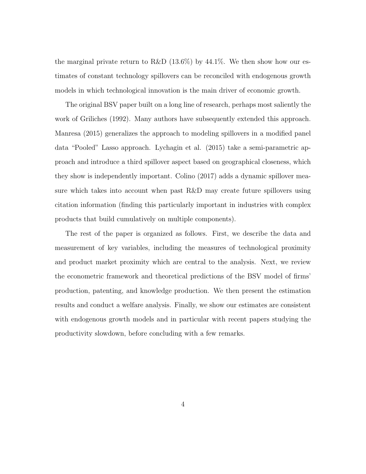the marginal private return to R&D  $(13.6\%)$  by 44.1%. We then show how our estimates of constant technology spillovers can be reconciled with endogenous growth models in which technological innovation is the main driver of economic growth.

The original BSV paper built on a long line of research, perhaps most saliently the work of Griliches (1992). Many authors have subsequently extended this approach. Manresa (2015) generalizes the approach to modeling spillovers in a modified panel data "Pooled" Lasso approach. Lychagin et al. (2015) take a semi-parametric approach and introduce a third spillover aspect based on geographical closeness, which they show is independently important. Colino (2017) adds a dynamic spillover measure which takes into account when past R&D may create future spillovers using citation information (finding this particularly important in industries with complex products that build cumulatively on multiple components).

The rest of the paper is organized as follows. First, we describe the data and measurement of key variables, including the measures of technological proximity and product market proximity which are central to the analysis. Next, we review the econometric framework and theoretical predictions of the BSV model of firms' production, patenting, and knowledge production. We then present the estimation results and conduct a welfare analysis. Finally, we show our estimates are consistent with endogenous growth models and in particular with recent papers studying the productivity slowdown, before concluding with a few remarks.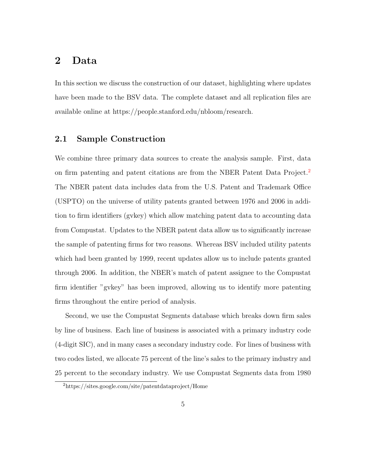## 2 Data

In this section we discuss the construction of our dataset, highlighting where updates have been made to the BSV data. The complete dataset and all replication files are available online at https://people.stanford.edu/nbloom/research.

### 2.1 Sample Construction

We combine three primary data sources to create the analysis sample. First, data on firm patenting and patent citations are from the NBER Patent Data Project.<sup>[2](#page-5-0)</sup> The NBER patent data includes data from the U.S. Patent and Trademark Office (USPTO) on the universe of utility patents granted between 1976 and 2006 in addition to firm identifiers (gvkey) which allow matching patent data to accounting data from Compustat. Updates to the NBER patent data allow us to significantly increase the sample of patenting firms for two reasons. Whereas BSV included utility patents which had been granted by 1999, recent updates allow us to include patents granted through 2006. In addition, the NBER's match of patent assignee to the Compustat firm identifier "gvkey" has been improved, allowing us to identify more patenting firms throughout the entire period of analysis.

Second, we use the Compustat Segments database which breaks down firm sales by line of business. Each line of business is associated with a primary industry code (4-digit SIC), and in many cases a secondary industry code. For lines of business with two codes listed, we allocate 75 percent of the line's sales to the primary industry and 25 percent to the secondary industry. We use Compustat Segments data from 1980

<span id="page-5-0"></span><sup>2</sup>https://sites.google.com/site/patentdataproject/Home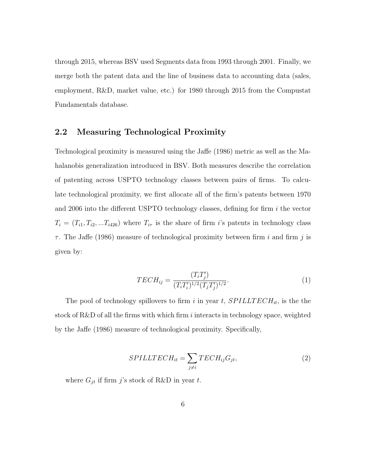through 2015, whereas BSV used Segments data from 1993 through 2001. Finally, we merge both the patent data and the line of business data to accounting data (sales, employment, R&D, market value, etc.) for 1980 through 2015 from the Compustat Fundamentals database.

### 2.2 Measuring Technological Proximity

Technological proximity is measured using the Jaffe (1986) metric as well as the Mahalanobis generalization introduced in BSV. Both measures describe the correlation of patenting across USPTO technology classes between pairs of firms. To calculate technological proximity, we first allocate all of the firm's patents between 1970 and  $2006$  into the different USPTO technology classes, defining for firm  $i$  the vector  $T_i = (T_{i1}, T_{i2}, ... T_{i426})$  where  $T_{i\tau}$  is the share of firm i's patents in technology class  $\tau$ . The Jaffe (1986) measure of technological proximity between firm i and firm j is given by:

<span id="page-6-0"></span>
$$
TECH_{ij} = \frac{(T_i T_j')}{(T_i T_i')^{1/2} (T_j T_j')^{1/2}}.
$$
\n(1)

The pool of technology spillovers to firm i in year t,  $SPILLTECH_{it}$ , is the the stock of R&D of all the firms with which firm i interacts in technology space, weighted by the Jaffe (1986) measure of technological proximity. Specifically,

$$
SPILLTECH_{it} = \sum_{j \neq i} TECH_{ij}G_{jt},\tag{2}
$$

where  $G_{jt}$  if firm j's stock of R&D in year t.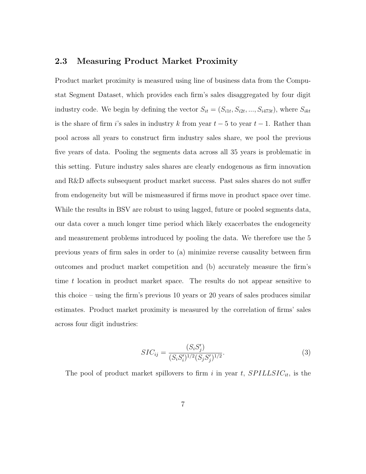### 2.3 Measuring Product Market Proximity

Product market proximity is measured using line of business data from the Compustat Segment Dataset, which provides each firm's sales disaggregated by four digit industry code. We begin by defining the vector  $S_{it} = (S_{i1t}, S_{i2t}, ..., S_{i473t})$ , where  $S_{ikt}$ is the share of firm i's sales in industry k from year  $t-5$  to year  $t-1$ . Rather than pool across all years to construct firm industry sales share, we pool the previous five years of data. Pooling the segments data across all 35 years is problematic in this setting. Future industry sales shares are clearly endogenous as firm innovation and R&D affects subsequent product market success. Past sales shares do not suffer from endogeneity but will be mismeasured if firms move in product space over time. While the results in BSV are robust to using lagged, future or pooled segments data, our data cover a much longer time period which likely exacerbates the endogeneity and measurement problems introduced by pooling the data. We therefore use the 5 previous years of firm sales in order to (a) minimize reverse causality between firm outcomes and product market competition and (b) accurately measure the firm's time t location in product market space. The results do not appear sensitive to this choice – using the firm's previous 10 years or 20 years of sales produces similar estimates. Product market proximity is measured by the correlation of firms' sales across four digit industries:

$$
SIC_{ij} = \frac{(S_i S_j')}{(S_i S_i')^{1/2} (S_j S_j')^{1/2}}.
$$
\n(3)

The pool of product market spillovers to firm i in year t,  $SPILLSIC_{it}$ , is the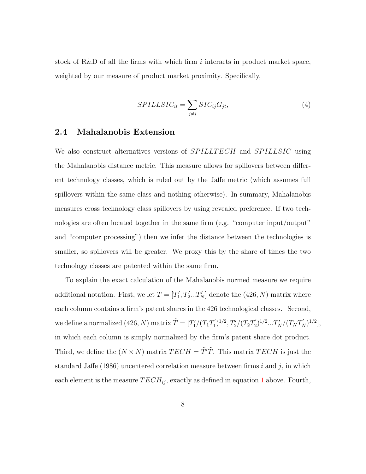stock of R&D of all the firms with which firm  $i$  interacts in product market space, weighted by our measure of product market proximity. Specifically,

$$
SPILLSIC_{it} = \sum_{j \neq i} SIC_{ij}G_{jt},\tag{4}
$$

#### 2.4 Mahalanobis Extension

We also construct alternatives versions of SPILLTECH and SPILLSIC using the Mahalanobis distance metric. This measure allows for spillovers between different technology classes, which is ruled out by the Jaffe metric (which assumes full spillovers within the same class and nothing otherwise). In summary, Mahalanobis measures cross technology class spillovers by using revealed preference. If two technologies are often located together in the same firm (e.g. "computer input/output" and "computer processing") then we infer the distance between the technologies is smaller, so spillovers will be greater. We proxy this by the share of times the two technology classes are patented within the same firm.

To explain the exact calculation of the Mahalanobis normed measure we require additional notation. First, we let  $T = [T'_1, T'_2...T'_N]$  denote the  $(426, N)$  matrix where each column contains a firm's patent shares in the 426 technological classes. Second, we define a normalized  $(426, N)$  matrix  $\tilde{T} = [T_1'/(T_1 T_1')]$  $(T_1')^{1/2}, T_2'/(T_2T_2')$  $(T_N')^{1/2}...T_N'/(T_N T_N')^{1/2}],$ in which each column is simply normalized by the firm's patent share dot product. Third, we define the  $(N \times N)$  matrix  $TECH = \tilde{T}'\tilde{T}$ . This matrix  $TECH$  is just the standard Jaffe (1986) uncentered correlation measure between firms  $i$  and  $j$ , in which each element is the measure  $TECH_{ij}$ , exactly as defined in equation [1](#page-6-0) above. Fourth,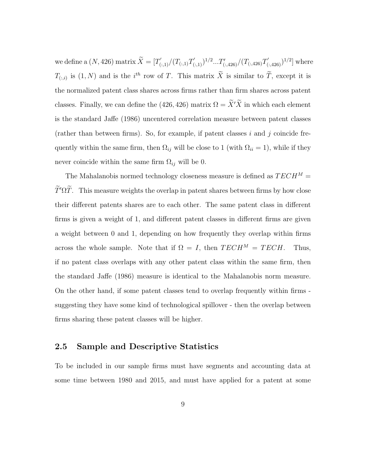we define a  $(N, 426)$  matrix  $\widetilde{X} = [T'_{(:,1)}/(T_{(:,1)}T'_{(:,1)})^{1/2}...T'_{(:,426)}/(T_{(:,426)}T'_{(:,426)})^{1/2}]$  where  $T_{(:,i)}$  is  $(1, N)$  and is the i<sup>th</sup> row of T. This matrix  $\tilde{X}$  is similar to  $\tilde{T}$ , except it is the normalized patent class shares across firms rather than firm shares across patent classes. Finally, we can define the (426, 426) matrix  $\Omega = \widetilde{X}'\widetilde{X}$  in which each element is the standard Jaffe (1986) uncentered correlation measure between patent classes (rather than between firms). So, for example, if patent classes i and j coincide frequently within the same firm, then  $\Omega_{ij}$  will be close to 1 (with  $\Omega_{ii} = 1$ ), while if they never coincide within the same firm  $\Omega_{ij}$  will be 0.

The Mahalanobis normed technology closeness measure is defined as  $TECH^M =$  $\widetilde{T}'\Omega\widetilde{T}$ . This measure weights the overlap in patent shares between firms by how close their different patents shares are to each other. The same patent class in different firms is given a weight of 1, and different patent classes in different firms are given a weight between 0 and 1, depending on how frequently they overlap within firms across the whole sample. Note that if  $\Omega = I$ , then  $TECH^M = T ECH$ . Thus, if no patent class overlaps with any other patent class within the same firm, then the standard Jaffe (1986) measure is identical to the Mahalanobis norm measure. On the other hand, if some patent classes tend to overlap frequently within firms suggesting they have some kind of technological spillover - then the overlap between firms sharing these patent classes will be higher.

### 2.5 Sample and Descriptive Statistics

To be included in our sample firms must have segments and accounting data at some time between 1980 and 2015, and must have applied for a patent at some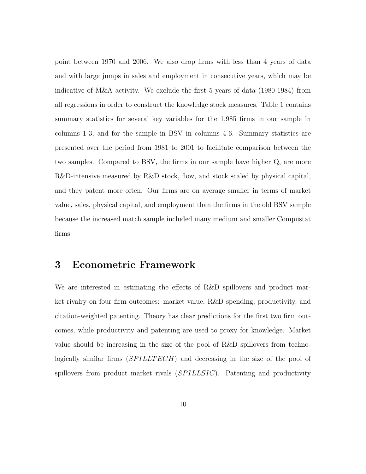point between 1970 and 2006. We also drop firms with less than 4 years of data and with large jumps in sales and employment in consecutive years, which may be indicative of M&A activity. We exclude the first 5 years of data (1980-1984) from all regressions in order to construct the knowledge stock measures. Table 1 contains summary statistics for several key variables for the 1,985 firms in our sample in columns 1-3, and for the sample in BSV in columns 4-6. Summary statistics are presented over the period from 1981 to 2001 to facilitate comparison between the two samples. Compared to BSV, the firms in our sample have higher Q, are more R&D-intensive measured by R&D stock, flow, and stock scaled by physical capital, and they patent more often. Our firms are on average smaller in terms of market value, sales, physical capital, and employment than the firms in the old BSV sample because the increased match sample included many medium and smaller Compustat firms.

# 3 Econometric Framework

We are interested in estimating the effects of R&D spillovers and product market rivalry on four firm outcomes: market value, R&D spending, productivity, and citation-weighted patenting. Theory has clear predictions for the first two firm outcomes, while productivity and patenting are used to proxy for knowledge. Market value should be increasing in the size of the pool of R&D spillovers from technologically similar firms  $(SPILLTECH)$  and decreasing in the size of the pool of spillovers from product market rivals (SPILLSIC). Patenting and productivity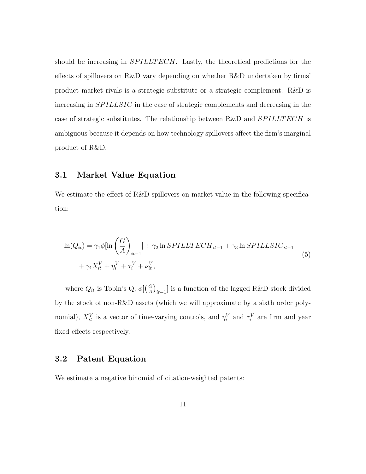should be increasing in *SPILLTECH*. Lastly, the theoretical predictions for the effects of spillovers on R&D vary depending on whether R&D undertaken by firms' product market rivals is a strategic substitute or a strategic complement. R&D is increasing in SPILLSIC in the case of strategic complements and decreasing in the case of strategic substitutes. The relationship between R&D and *SPILLTECH* is ambiguous because it depends on how technology spillovers affect the firm's marginal product of R&D.

#### 3.1 Market Value Equation

We estimate the effect of R&D spillovers on market value in the following specification:

<span id="page-11-0"></span>
$$
\ln(Q_{it}) = \gamma_1 \phi [\ln\left(\frac{G}{A}\right)_{it-1}] + \gamma_2 \ln SPILLTECH_{it-1} + \gamma_3 \ln SPILLSIC_{it-1}
$$
  
+  $\gamma_4 X_{it}^V + \eta_i^V + \tau_i^V + \nu_{it}^V,$  (5)

where  $Q_{it}$  is Tobin's Q,  $\phi$ [ $\left(\frac{G}{A}\right)$  $\left(\frac{G}{A}\right)_{it-1}]$  is a function of the lagged R&D stock divided by the stock of non-R&D assets (which we will approximate by a sixth order polynomial),  $X_{it}^V$  is a vector of time-varying controls, and  $\eta_i^V$  and  $\tau_i^V$  are firm and year fixed effects respectively.

### 3.2 Patent Equation

We estimate a negative binomial of citation-weighted patents: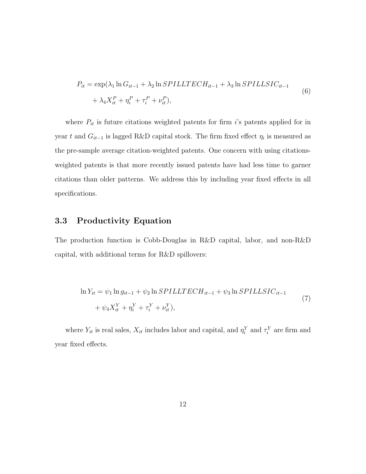<span id="page-12-0"></span>
$$
P_{it} = \exp(\lambda_1 \ln G_{it-1} + \lambda_2 \ln SPILLTECH_{it-1} + \lambda_3 \ln SPILLSIC_{it-1}
$$
  
+ 
$$
\lambda_4 X_{it}^P + \eta_i^P + \tau_i^P + \nu_{it}^P,
$$
 (6)

where  $P_{it}$  is future citations weighted patents for firm i's patents applied for in year t and  $G_{it-1}$  is lagged R&D capital stock. The firm fixed effect  $\eta_i$  is measured as the pre-sample average citation-weighted patents. One concern with using citationsweighted patents is that more recently issued patents have had less time to garner citations than older patterns. We address this by including year fixed effects in all specifications.

## 3.3 Productivity Equation

The production function is Cobb-Douglas in R&D capital, labor, and non-R&D capital, with additional terms for R&D spillovers:

<span id="page-12-1"></span>
$$
\ln Y_{it} = \psi_1 \ln g_{it-1} + \psi_2 \ln SPILLTECH_{it-1} + \psi_3 \ln SPILLSIC_{it-1} + \psi_4 X_{it}^Y + \eta_i^Y + \tau_i^Y + \nu_{it}^Y),
$$
\n(7)

where  $Y_{it}$  is real sales,  $X_{it}$  includes labor and capital, and  $\eta_i^Y$  and  $\tau_i^Y$  are firm and year fixed effects.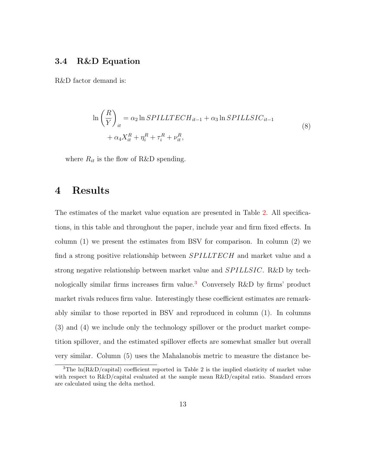### 3.4 R&D Equation

<span id="page-13-1"></span>R&D factor demand is:

$$
\ln\left(\frac{R}{Y}\right)_{it} = \alpha_2 \ln SPILLTECH_{it-1} + \alpha_3 \ln SPILLSIC_{it-1}
$$
  
+ 
$$
\alpha_4 X_{it}^R + \eta_i^R + \tau_i^R + \nu_{it}^R,
$$
 (8)

where  $R_{it}$  is the flow of R&D spending.

## 4 Results

The estimates of the market value equation are presented in Table [2.](#page-29-0) All specifications, in this table and throughout the paper, include year and firm fixed effects. In column (1) we present the estimates from BSV for comparison. In column (2) we find a strong positive relationship between  $SPILLTECH$  and market value and a strong negative relationship between market value and  $SPILLSIC$ . R&D by technologically similar firms increases firm value.[3](#page-13-0) Conversely R&D by firms' product market rivals reduces firm value. Interestingly these coefficient estimates are remarkably similar to those reported in BSV and reproduced in column (1). In columns (3) and (4) we include only the technology spillover or the product market competition spillover, and the estimated spillover effects are somewhat smaller but overall very similar. Column (5) uses the Mahalanobis metric to measure the distance be-

<span id="page-13-0"></span><sup>&</sup>lt;sup>3</sup>The  $ln(R\&D/capital)$  coefficient reported in Table 2 is the implied elasticity of market value with respect to R&D/capital evaluated at the sample mean R&D/capital ratio. Standard errors are calculated using the delta method.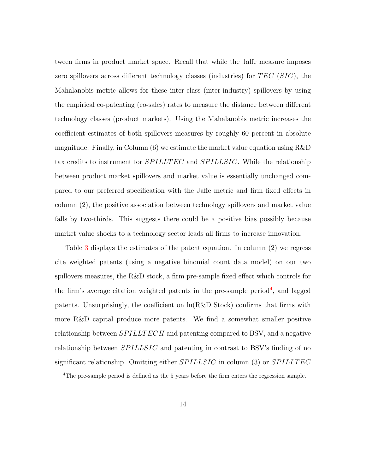tween firms in product market space. Recall that while the Jaffe measure imposes zero spillovers across different technology classes (industries) for  $TEC$  ( $SIC$ ), the Mahalanobis metric allows for these inter-class (inter-industry) spillovers by using the empirical co-patenting (co-sales) rates to measure the distance between different technology classes (product markets). Using the Mahalanobis metric increases the coefficient estimates of both spillovers measures by roughly 60 percent in absolute magnitude. Finally, in Column  $(6)$  we estimate the market value equation using R&D tax credits to instrument for *SPILLTEC* and *SPILLSIC*. While the relationship between product market spillovers and market value is essentially unchanged compared to our preferred specification with the Jaffe metric and firm fixed effects in column (2), the positive association between technology spillovers and market value falls by two-thirds. This suggests there could be a positive bias possibly because market value shocks to a technology sector leads all firms to increase innovation.

Table [3](#page-30-0) displays the estimates of the patent equation. In column (2) we regress cite weighted patents (using a negative binomial count data model) on our two spillovers measures, the R&D stock, a firm pre-sample fixed effect which controls for the firm's average citation weighted patents in the pre-sample period<sup>[4](#page-14-0)</sup>, and lagged patents. Unsurprisingly, the coefficient on  $\ln(R\&D$  Stock) confirms that firms with more R&D capital produce more patents. We find a somewhat smaller positive relationship between  $SPILLTECH$  and patenting compared to BSV, and a negative relationship between  $SPILLSIC$  and patenting in contrast to BSV's finding of no significant relationship. Omitting either  $SPILLSIC$  in column (3) or  $SPILLTEC$ 

<span id="page-14-0"></span><sup>&</sup>lt;sup>4</sup>The pre-sample period is defined as the 5 years before the firm enters the regression sample.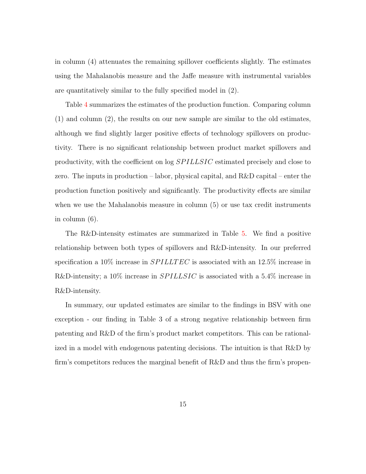in column (4) attenuates the remaining spillover coefficients slightly. The estimates using the Mahalanobis measure and the Jaffe measure with instrumental variables are quantitatively similar to the fully specified model in (2).

Table [4](#page-31-0) summarizes the estimates of the production function. Comparing column (1) and column (2), the results on our new sample are similar to the old estimates, although we find slightly larger positive effects of technology spillovers on productivity. There is no significant relationship between product market spillovers and productivity, with the coefficient on  $log SPILLSIC$  estimated precisely and close to zero. The inputs in production – labor, physical capital, and R&D capital – enter the production function positively and significantly. The productivity effects are similar when we use the Mahalanobis measure in column (5) or use tax credit instruments in column (6).

The R&D-intensity estimates are summarized in Table [5.](#page-32-0) We find a positive relationship between both types of spillovers and R&D-intensity. In our preferred specification a 10% increase in  $SPILLTEC$  is associated with an 12.5% increase in R&D-intensity; a 10% increase in  $SPILLSIC$  is associated with a 5.4% increase in R&D-intensity.

In summary, our updated estimates are similar to the findings in BSV with one exception - our finding in Table 3 of a strong negative relationship between firm patenting and R&D of the firm's product market competitors. This can be rationalized in a model with endogenous patenting decisions. The intuition is that R&D by firm's competitors reduces the marginal benefit of R&D and thus the firm's propen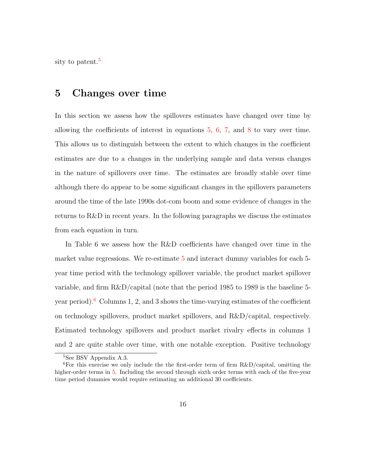sity to patent.<sup>[5](#page-16-0)</sup>

# 5 Changes over time

In this section we assess how the spillovers estimates have changed over time by allowing the coefficients of interest in equations [5,](#page-11-0) [6,](#page-12-0) [7,](#page-12-1) and [8](#page-13-1) to vary over time. This allows us to distinguish between the extent to which changes in the coefficient estimates are due to a changes in the underlying sample and data versus changes in the nature of spillovers over time. The estimates are broadly stable over time although there do appear to be some significant changes in the spillovers parameters around the time of the late 1990s dot-com boom and some evidence of changes in the returns to R&D in recent years. In the following paragraphs we discuss the estimates from each equation in turn.

In Table 6 we assess how the R&D coefficients have changed over time in the market value regressions. We re-estimate [5](#page-11-0) and interact dummy variables for each 5 year time period with the technology spillover variable, the product market spillover variable, and firm R&D/capital (note that the period 1985 to 1989 is the baseline 5- year period).<sup>[6](#page-16-1)</sup> Columns 1, 2, and 3 shows the time-varying estimates of the coefficient on technology spillovers, product market spillovers, and R&D/capital, respectively. Estimated technology spillovers and product market rivalry effects in columns 1 and 2 are quite stable over time, with one notable exception. Positive technology

<span id="page-16-1"></span><span id="page-16-0"></span><sup>5</sup>See BSV Appendix A.3.

<sup>&</sup>lt;sup>6</sup>For this exercise we only include the the first-order term of firm  $R&D/c$  apital, omitting the higher-order terms in [5.](#page-11-0) Including the second through sixth order terms with each of the five-year time period dummies would require estimating an additional 30 coefficients.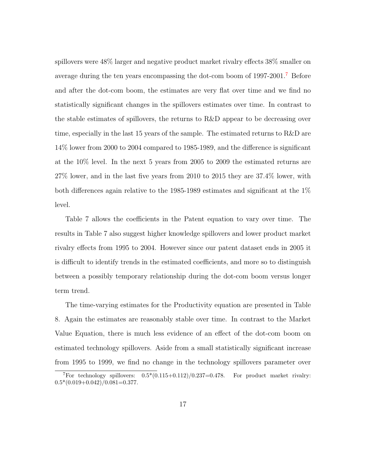spillovers were 48% larger and negative product market rivalry effects 38% smaller on average during the ten years encompassing the dot-com boom of 1997-2001.[7](#page-17-0) Before and after the dot-com boom, the estimates are very flat over time and we find no statistically significant changes in the spillovers estimates over time. In contrast to the stable estimates of spillovers, the returns to R&D appear to be decreasing over time, especially in the last 15 years of the sample. The estimated returns to R&D are 14% lower from 2000 to 2004 compared to 1985-1989, and the difference is significant at the 10% level. In the next 5 years from 2005 to 2009 the estimated returns are 27% lower, and in the last five years from 2010 to 2015 they are 37.4% lower, with both differences again relative to the 1985-1989 estimates and significant at the 1% level.

Table 7 allows the coefficients in the Patent equation to vary over time. The results in Table 7 also suggest higher knowledge spillovers and lower product market rivalry effects from 1995 to 2004. However since our patent dataset ends in 2005 it is difficult to identify trends in the estimated coefficients, and more so to distinguish between a possibly temporary relationship during the dot-com boom versus longer term trend.

The time-varying estimates for the Productivity equation are presented in Table 8. Again the estimates are reasonably stable over time. In contrast to the Market Value Equation, there is much less evidence of an effect of the dot-com boom on estimated technology spillovers. Aside from a small statistically significant increase from 1995 to 1999, we find no change in the technology spillovers parameter over

<span id="page-17-0"></span><sup>&</sup>lt;sup>7</sup>For technology spillovers:  $0.5*(0.115+0.112)/0.237=0.478$ . For product market rivalry:  $0.5*(0.019+0.042)/0.081=0.377.$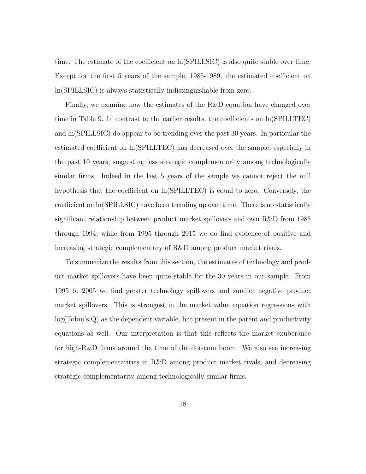time. The estimate of the coefficient on ln(SPILLSIC) is also quite stable over time. Except for the first 5 years of the sample, 1985-1989, the estimated coefficient on ln(SPILLSIC) is always statistically indistinguishable from zero.

Finally, we examine how the estimates of the R&D equation have changed over time in Table 9. In contrast to the earlier results, the coefficients on ln(SPILLTEC) and ln(SPILLSIC) do appear to be trending over the past 30 years. In particular the estimated coefficient on ln(SPILLTEC) has decreased over the sample, especially in the past 10 years, suggesting less strategic complementarity among technologically similar firms. Indeed in the last 5 years of the sample we cannot reject the null hypothesis that the coefficient on ln(SPILLTEC) is equal to zero. Conversely, the coefficient on ln(SPILLSIC) have been trending up over time. There is no statistically significant relationship between product market spillovers and own R&D from 1985 through 1994, while from 1995 through 2015 we do find evidence of positive and increasing strategic complementary of R&D among product market rivals.

To summarize the results from this section, the estimates of technology and product market spillovers have been quite stable for the 30 years in our sample. From 1995 to 2005 we find greater technology spillovers and smaller negative product market spillovers. This is strongest in the market value equation regressions with log(Tobin's Q) as the dependent variable, but present in the patent and productivity equations as well. Our interpretation is that this reflects the market exuberance for high-R&D firms around the time of the dot-com boom. We also see increasing strategic complementarities in R&D among product market rivals, and decreasing strategic complementarity among technologically similar firms.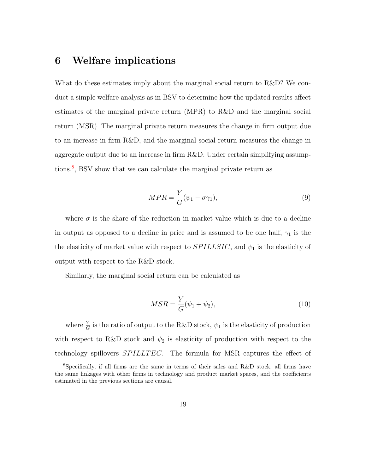# 6 Welfare implications

What do these estimates imply about the marginal social return to R&D? We conduct a simple welfare analysis as in BSV to determine how the updated results affect estimates of the marginal private return (MPR) to R&D and the marginal social return (MSR). The marginal private return measures the change in firm output due to an increase in firm R&D, and the marginal social return measures the change in aggregate output due to an increase in firm R&D. Under certain simplifying assump-tions.<sup>[8](#page-19-0)</sup>, BSV show that we can calculate the marginal private return as

$$
MPR = \frac{Y}{G}(\psi_1 - \sigma \gamma_1),\tag{9}
$$

where  $\sigma$  is the share of the reduction in market value which is due to a decline in output as opposed to a decline in price and is assumed to be one half,  $\gamma_1$  is the the elasticity of market value with respect to  $SPILLSIC$ , and  $\psi_1$  is the elasticity of output with respect to the R&D stock.

Similarly, the marginal social return can be calculated as

$$
MSR = \frac{Y}{G}(\psi_1 + \psi_2),\tag{10}
$$

where  $\frac{Y}{G}$  is the ratio of output to the R&D stock,  $\psi_1$  is the elasticity of production with respect to R&D stock and  $\psi_2$  is elasticity of production with respect to the technology spillovers *SPILLTEC*. The formula for MSR captures the effect of

<span id="page-19-0"></span><sup>8</sup>Specifically, if all firms are the same in terms of their sales and R&D stock, all firms have the same linkages with other firms in technology and product market spaces, and the coefficients estimated in the previous sections are causal.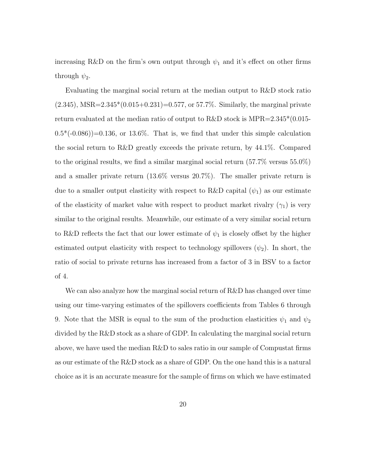increasing R&D on the firm's own output through  $\psi_1$  and it's effect on other firms through  $\psi_2$ .

Evaluating the marginal social return at the median output to R&D stock ratio  $(2.345)$ , MSR= $2.345*(0.015+0.231)=0.577$ , or 57.7%. Similarly, the marginal private return evaluated at the median ratio of output to R&D stock is MPR= $2.345*(0.015 (0.5^*(-0.086))=0.136$ , or 13.6%. That is, we find that under this simple calculation the social return to R&D greatly exceeds the private return, by 44.1%. Compared to the original results, we find a similar marginal social return (57.7% versus 55.0%) and a smaller private return (13.6% versus 20.7%). The smaller private return is due to a smaller output elasticity with respect to R&D capital  $(\psi_1)$  as our estimate of the elasticity of market value with respect to product market rivalry  $(\gamma_1)$  is very similar to the original results. Meanwhile, our estimate of a very similar social return to R&D reflects the fact that our lower estimate of  $\psi_1$  is closely offset by the higher estimated output elasticity with respect to technology spillovers  $(\psi_2)$ . In short, the ratio of social to private returns has increased from a factor of 3 in BSV to a factor of 4.

We can also analyze how the marginal social return of R&D has changed over time using our time-varying estimates of the spillovers coefficients from Tables 6 through 9. Note that the MSR is equal to the sum of the production elasticities  $\psi_1$  and  $\psi_2$ divided by the R&D stock as a share of GDP. In calculating the marginal social return above, we have used the median R&D to sales ratio in our sample of Compustat firms as our estimate of the R&D stock as a share of GDP. On the one hand this is a natural choice as it is an accurate measure for the sample of firms on which we have estimated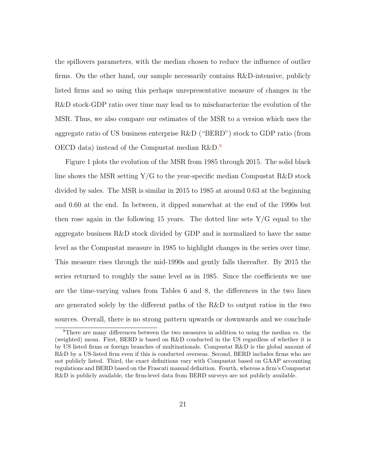the spillovers parameters, with the median chosen to reduce the influence of outlier firms. On the other hand, our sample necessarily contains R&D-intensive, publicly listed firms and so using this perhaps unrepresentative measure of changes in the R&D stock-GDP ratio over time may lead us to mischaracterize the evolution of the MSR. Thus, we also compare our estimates of the MSR to a version which uses the aggregate ratio of US business enterprise R&D ("BERD") stock to GDP ratio (from OECD data) instead of the Compustat median R&D.[9](#page-21-0)

Figure 1 plots the evolution of the MSR from 1985 through 2015. The solid black line shows the MSR setting  $Y/G$  to the year-specific median Compustat R&D stock divided by sales. The MSR is similar in 2015 to 1985 at around 0.63 at the beginning and 0.60 at the end. In between, it dipped somewhat at the end of the 1990s but then rose again in the following 15 years. The dotted line sets  $Y/G$  equal to the aggregate business R&D stock divided by GDP and is normalized to have the same level as the Compustat measure in 1985 to highlight changes in the series over time. This measure rises through the mid-1990s and gently falls thereafter. By 2015 the series returned to roughly the same level as in 1985. Since the coefficients we use are the time-varying values from Tables 6 and 8, the differences in the two lines are generated solely by the different paths of the R&D to output ratios in the two sources. Overall, there is no strong pattern upwards or downwards and we conclude

<span id="page-21-0"></span><sup>9</sup>There are many differences between the two measures in addition to using the median vs. the (weighted) mean. First, BERD is based on R&D conducted in the US regardless of whether it is by US listed firms or foreign branches of multinationals. Compustat R&D is the global amount of R&D by a US-listed firm even if this is conducted overseas. Second, BERD includes firms who are not publicly listed. Third, the exact definitions vary with Compustat based on GAAP accounting regulations and BERD based on the Frascati manual definition. Fourth, whereas a firm's Compustat R&D is publicly available, the firm-level data from BERD surveys are not publicly available.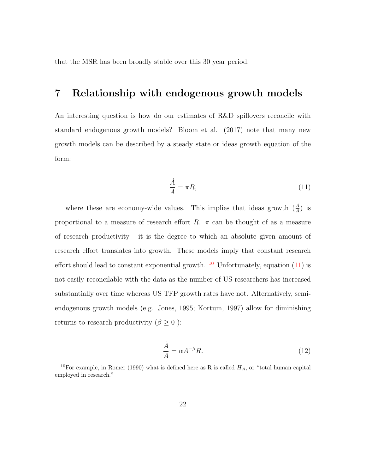that the MSR has been broadly stable over this 30 year period.

## 7 Relationship with endogenous growth models

An interesting question is how do our estimates of R&D spillovers reconcile with standard endogenous growth models? Bloom et al. (2017) note that many new growth models can be described by a steady state or ideas growth equation of the form:

<span id="page-22-1"></span>
$$
\frac{\dot{A}}{A} = \pi R,\tag{11}
$$

where these are economy-wide values. This implies that ideas growth  $(\frac{\dot{A}}{A})$  is proportional to a measure of research effort  $R$ .  $\pi$  can be thought of as a measure of research productivity - it is the degree to which an absolute given amount of research effort translates into growth. These models imply that constant research effort should lead to constant exponential growth.  $10$  Unfortunately, equation [\(11\)](#page-22-1) is not easily reconcilable with the data as the number of US researchers has increased substantially over time whereas US TFP growth rates have not. Alternatively, semiendogenous growth models (e.g. Jones, 1995; Kortum, 1997) allow for diminishing returns to research productivity ( $\beta \geq 0$ ):

<span id="page-22-2"></span>
$$
\frac{\dot{A}}{A} = \alpha A^{-\beta} R. \tag{12}
$$

<span id="page-22-0"></span><sup>&</sup>lt;sup>10</sup>For example, in Romer (1990) what is defined here as R is called  $H_A$ , or "total human capital employed in research."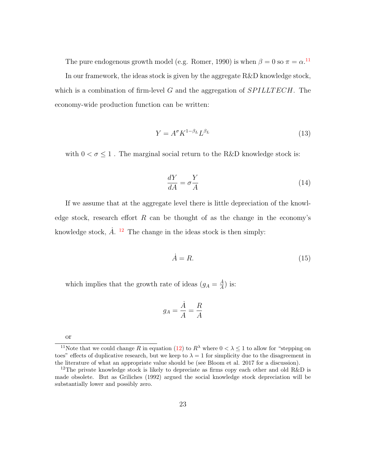The pure endogenous growth model (e.g. Romer, 1990) is when  $\beta = 0$  so  $\pi = \alpha$ .<sup>[11](#page-23-0)</sup>

In our framework, the ideas stock is given by the aggregate R&D knowledge stock, which is a combination of firm-level G and the aggregation of  $SPILLTECH$ . The economy-wide production function can be written:

$$
Y = A^{\sigma} K^{1-\beta_L} L^{\beta_L} \tag{13}
$$

with  $0<\sigma\leq 1$  . The marginal social return to the R&D knowledge stock is:

<span id="page-23-2"></span>
$$
\frac{dY}{dA} = \sigma \frac{Y}{A} \tag{14}
$$

If we assume that at the aggregate level there is little depreciation of the knowledge stock, research effort  $R$  can be thought of as the change in the economy's knowledge stock,  $\dot{A}$ . <sup>[12](#page-23-1)</sup> The change in the ideas stock is then simply:

$$
\dot{A} = R.\t(15)
$$

which implies that the growth rate of ideas  $(g_A = \frac{\dot{A}}{A})$  $\frac{A}{A}$ ) is:

$$
g_A = \frac{\dot{A}}{A} = \frac{R}{A}
$$

<span id="page-23-0"></span>or

<sup>&</sup>lt;sup>11</sup>Note that we could change R in equation [\(12\)](#page-22-2) to  $R^{\lambda}$  where  $0 < \lambda \leq 1$  to allow for "stepping on toes" effects of duplicative research, but we keep to  $\lambda = 1$  for simplicity due to the disagreement in the literature of what an appropriate value should be (see Bloom et al. 2017 for a discussion).

<span id="page-23-1"></span><sup>&</sup>lt;sup>12</sup>The private knowledge stock is likely to depreciate as firms copy each other and old R&D is made obsolete. But as Griliches (1992) argued the social knowledge stock depreciation will be substantially lower and possibly zero.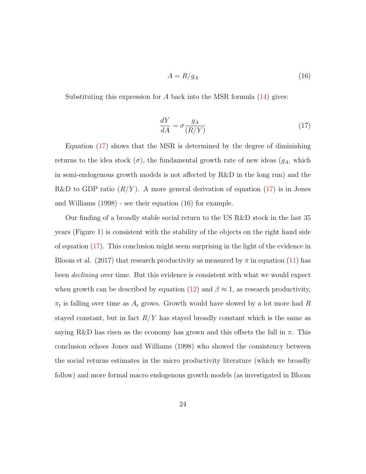$$
A = R/g_A \tag{16}
$$

Substituting this expression for  $A$  back into the MSR formula  $(14)$  gives:

<span id="page-24-0"></span>
$$
\frac{dY}{dA} = \sigma \frac{g_A}{(R/Y)}\tag{17}
$$

Equation [\(17\)](#page-24-0) shows that the MSR is determined by the degree of diminishing returns to the idea stock  $(\sigma)$ , the fundamental growth rate of new ideas  $(g_A, \text{ which})$ in semi-endogenous growth models is not affected by R&D in the long run) and the R&D to GDP ratio  $(R/Y)$ . A more general derivation of equation [\(17\)](#page-24-0) is in Jones and Williams (1998) - see their equation (16) for example.

Our finding of a broadly stable social return to the US R&D stock in the last 35 years (Figure 1) is consistent with the stability of the objects on the right hand side of equation [\(17\)](#page-24-0). This conclusion might seem surprising in the light of the evidence in Bloom et al. (2017) that research productivity as measured by  $\pi$  in equation [\(11\)](#page-22-1) has been declining over time. But this evidence is consistent with what we would expect when growth can be described by equation [\(12\)](#page-22-2) and  $\beta \approx 1$ , as research productivity,  $\pi_t$  is falling over time as  $A_t$  grows. Growth would have slowed by a lot more had R stayed constant, but in fact  $R/Y$  has stayed broadly constant which is the same as saying R&D has risen as the economy has grown and this offsets the fall in  $\pi$ . This conclusion echoes Jones and Williams (1998) who showed the consistency between the social returns estimates in the micro productivity literature (which we broadly follow) and more formal macro endogenous growth models (as investigated in Bloom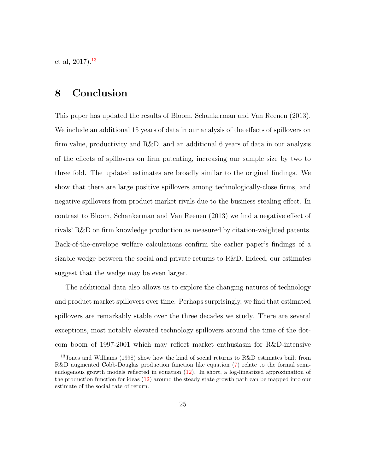et al,  $2017$ ).<sup>[13](#page-25-0)</sup>

## 8 Conclusion

This paper has updated the results of Bloom, Schankerman and Van Reenen (2013). We include an additional 15 years of data in our analysis of the effects of spillovers on firm value, productivity and R&D, and an additional 6 years of data in our analysis of the effects of spillovers on firm patenting, increasing our sample size by two to three fold. The updated estimates are broadly similar to the original findings. We show that there are large positive spillovers among technologically-close firms, and negative spillovers from product market rivals due to the business stealing effect. In contrast to Bloom, Schankerman and Van Reenen (2013) we find a negative effect of rivals' R&D on firm knowledge production as measured by citation-weighted patents. Back-of-the-envelope welfare calculations confirm the earlier paper's findings of a sizable wedge between the social and private returns to R&D. Indeed, our estimates suggest that the wedge may be even larger.

The additional data also allows us to explore the changing natures of technology and product market spillovers over time. Perhaps surprisingly, we find that estimated spillovers are remarkably stable over the three decades we study. There are several exceptions, most notably elevated technology spillovers around the time of the dotcom boom of 1997-2001 which may reflect market enthusiasm for R&D-intensive

<span id="page-25-0"></span><sup>13</sup>Jones and Williams (1998) show how the kind of social returns to R&D estimates built from R&D augmented Cobb-Douglas production function like equation [\(7\)](#page-12-1) relate to the formal semiendogenous growth models reflected in equation [\(12\)](#page-22-2). In short, a log-linearized approximation of the production function for ideas [\(12\)](#page-22-2) around the steady state growth path can be mapped into our estimate of the social rate of return.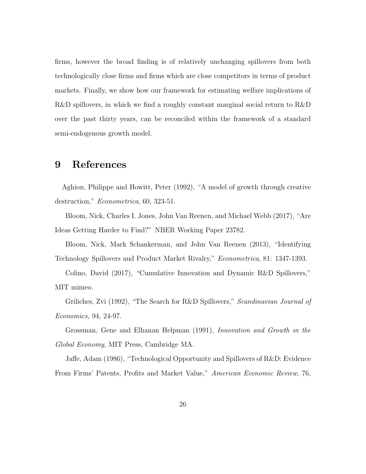firms, however the broad finding is of relatively unchanging spillovers from both technologically close firms and firms which are close competitors in terms of product markets. Finally, we show how our framework for estimating welfare implications of R&D spillovers, in which we find a roughly constant marginal social return to R&D over the past thirty years, can be reconciled within the framework of a standard semi-endogenous growth model.

## 9 References

Aghion, Philippe and Howitt, Peter (1992), "A model of growth through creative destruction," Econometrica, 60, 323-51.

Bloom, Nick, Charles I. Jones, John Van Reenen, and Michael Webb (2017), "Are Ideas Getting Harder to Find?" NBER Working Paper 23782.

Bloom, Nick, Mark Schankerman, and John Van Reenen (2013), "Identifying Technology Spillovers and Product Market Rivalry," Econometrica, 81: 1347-1393.

Colino, David (2017), "Cumulative Innovation and Dynamic R&D Spillovers," MIT mimeo.

Griliches, Zvi (1992), "The Search for R&D Spillovers," Scandinavian Journal of Economics, 94, 24-97.

Grossman, Gene and Elhanan Helpman (1991), Innovation and Growth in the Global Economy, MIT Press, Cambridge MA.

Jaffe, Adam (1986), "Technological Opportunity and Spillovers of R&D: Evidence From Firms' Patents, Profits and Market Value," American Economic Review, 76,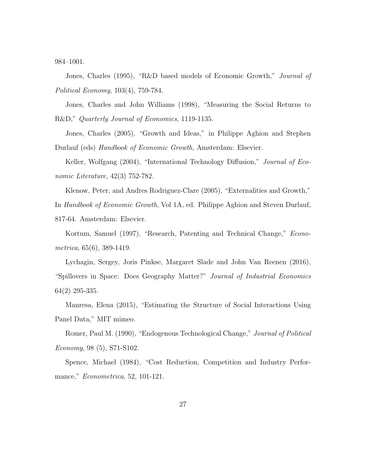984–1001.

Jones, Charles (1995), "R&D based models of Economic Growth," Journal of Political Economy, 103(4), 759-784.

Jones, Charles and John Williams (1998), "Measuring the Social Returns to R&D," Quarterly Journal of Economics, 1119-1135.

Jones, Charles (2005), "Growth and Ideas," in Philippe Aghion and Stephen Durlauf (eds) Handbook of Economic Growth, Amsterdam: Elsevier.

Keller, Wolfgang (2004), "International Technology Diffusion," Journal of Economic Literature, 42(3) 752-782.

Klenow, Peter, and Andres Rodriguez-Clare (2005), "Externalities and Growth," In Handbook of Economic Growth, Vol 1A, ed. Philippe Aghion and Steven Durlauf, 817-64. Amsterdam: Elsevier.

Kortum, Samuel (1997), "Research, Patenting and Technical Change," Econometrica, 65(6), 389-1419.

Lychagin, Sergey, Joris Pinkse, Margaret Slade and John Van Reenen (2016), "Spillovers in Space: Does Geography Matter?" Journal of Industrial Economics 64(2) 295-335.

Manresa, Elena (2015), "Estimating the Structure of Social Interactions Using Panel Data," MIT mimeo.

Romer, Paul M. (1990), "Endogenous Technological Change," Journal of Political Economy, 98 (5), S71-S102.

Spence, Michael (1984), "Cost Reduction, Competition and Industry Performance," Econometrica, 52, 101-121.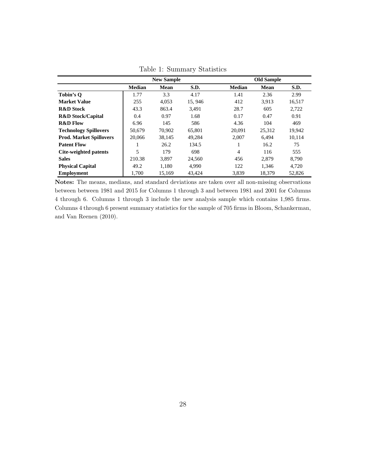|                                |               | <b>New Sample</b> |        |               | <b>Old Sample</b> |        |
|--------------------------------|---------------|-------------------|--------|---------------|-------------------|--------|
|                                | <b>Median</b> | <b>Mean</b>       | S.D.   | <b>Median</b> | Mean              | S.D.   |
| Tobin's O                      | 1.77          | 3.3               | 4.17   | 1.41          | 2.36              | 2.99   |
| <b>Market Value</b>            | 255           | 4,053             | 15,946 | 412           | 3,913             | 16,517 |
| <b>R&amp;D</b> Stock           | 43.3          | 863.4             | 3.491  | 28.7          | 605               | 2,722  |
| <b>R&amp;D Stock/Capital</b>   | 0.4           | 0.97              | 1.68   | 0.17          | 0.47              | 0.91   |
| <b>R&amp;D Flow</b>            | 6.96          | 145               | 586    | 4.36          | 104               | 469    |
| <b>Technology Spillovers</b>   | 50.679        | 70,902            | 65,801 | 20,091        | 25,312            | 19,942 |
| <b>Prod. Market Spillovers</b> | 20,066        | 38,145            | 49,284 | 2,007         | 6.494             | 10,114 |
| <b>Patent Flow</b>             |               | 26.2              | 134.5  |               | 16.2              | 75     |
| Cite-weighted patents          | 5             | 179               | 698    | 4             | 116               | 555    |
| <b>Sales</b>                   | 210.38        | 3,897             | 24.560 | 456           | 2,879             | 8,790  |
| <b>Physical Capital</b>        | 49.2          | 1.180             | 4.990  | 122           | 1.346             | 4,720  |
| <b>Employment</b>              | 1.700         | 15,169            | 43,424 | 3,839         | 18,379            | 52,826 |

Table 1: Summary Statistics

Notes: The means, medians, and standard deviations are taken over all non-missing observations between between 1981 and 2015 for Columns 1 through 3 and between 1981 and 2001 for Columns 4 through 6. Columns 1 through 3 include the new analysis sample which contains 1,985 firms. Columns 4 through 6 present summary statistics for the sample of 705 firms in Bloom, Schankerman, and Van Reenen (2010).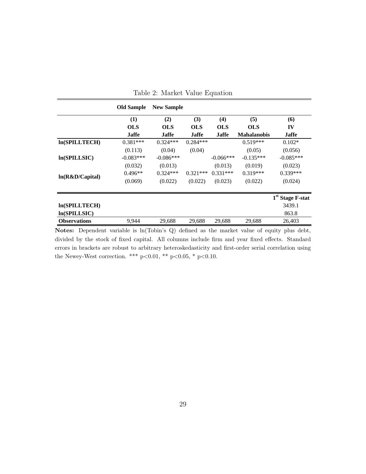|                                                                                             | <b>Old Sample</b> | <b>New Sample</b> |              |              |                    |                    |
|---------------------------------------------------------------------------------------------|-------------------|-------------------|--------------|--------------|--------------------|--------------------|
|                                                                                             | (1)               | (2)               | (3)          | (4)          | (5)                | (6)                |
|                                                                                             | <b>OLS</b>        | <b>OLS</b>        | <b>OLS</b>   | <b>OLS</b>   | <b>OLS</b>         | IV                 |
|                                                                                             | <b>Jaffe</b>      | <b>Jaffe</b>      | <b>Jaffe</b> | <b>Jaffe</b> | <b>Mahalanobis</b> | <b>Jaffe</b>       |
| ln(SPILLTECH)                                                                               | $0.381***$        | $0.324***$        | $0.284***$   |              | $0.519***$         | $0.102*$           |
|                                                                                             | (0.113)           | (0.04)            | (0.04)       |              | (0.05)             | (0.056)            |
| ln(SPILLSIC)                                                                                | $-0.083***$       | $-0.086***$       |              | $-0.066***$  | $-0.135***$        | $-0.085***$        |
|                                                                                             | (0.032)           | (0.013)           |              | (0.013)      | (0.019)            | (0.023)            |
|                                                                                             | $0.496**$         | $0.324***$        | $0.321***$   | $0.331***$   | $0.319***$         | $0.339***$         |
| ln(R&D/Capital)                                                                             | (0.069)           | (0.022)           | (0.022)      | (0.023)      | (0.022)            | (0.024)            |
|                                                                                             |                   |                   |              |              |                    | $1st$ Stage F-stat |
| <b>ln(SPILLTECH)</b>                                                                        |                   |                   |              |              |                    | 3439.1             |
| ln(SPILLSIC)                                                                                |                   |                   |              |              |                    | 863.8              |
| <b>Observations</b>                                                                         | 9,944             | 29,688            | 29,688       | 29,688       | 29,688             | 26,403             |
| Notes: Dependent variable is ln(Tobin's Q) defined as the market value of equity plus debt, |                   |                   |              |              |                    |                    |

<span id="page-29-0"></span>

|  |  |  | Table 2: Market Value Equation |
|--|--|--|--------------------------------|
|--|--|--|--------------------------------|

Notes: Dependent variable is ln(Tobin's Q) defined as the market value of equity plus debt, divided by the stock of fixed capital. All columns include firm and year fixed effects. Standard errors in brackets are robust to arbitrary heteroskedasticity and first-order serial correlation using the Newey-West correction. \*\*\* p<0.01, \*\* p<0.05, \* p<0.10.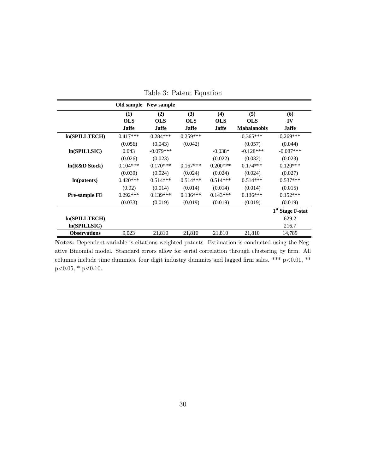|                      |              | Old sample New sample |              |              |                    |                              |
|----------------------|--------------|-----------------------|--------------|--------------|--------------------|------------------------------|
|                      | (1)          | (2)                   | (3)          | (4)          | (5)                | (6)                          |
|                      | <b>OLS</b>   | <b>OLS</b>            | <b>OLS</b>   | <b>OLS</b>   | <b>OLS</b>         | IV                           |
|                      | <b>Jaffe</b> | <b>Jaffe</b>          | <b>Jaffe</b> | <b>Jaffe</b> | <b>Mahalanobis</b> | Jaffe                        |
| ln(SPILLTECH)        | $0.417***$   | $0.284***$            | $0.259***$   |              | $0.365***$         | $0.269***$                   |
|                      | (0.056)      | (0.043)               | (0.042)      |              | (0.057)            | (0.044)                      |
| ln(SPILLSIC)         | 0.043        | $-0.079***$           |              | $-0.038*$    | $-0.128***$        | $-0.087***$                  |
|                      | (0.026)      | (0.023)               |              | (0.022)      | (0.032)            | (0.023)                      |
| ln(R&D Stock)        | $0.104***$   | $0.170***$            | $0.167***$   | $0.200***$   | $0.174***$         | $0.120***$                   |
|                      | (0.039)      | (0.024)               | (0.024)      | (0.024)      | (0.024)            | (0.027)                      |
| ln(patents)          | $0.420***$   | $0.514***$            | $0.514***$   | $0.514***$   | $0.514***$         | $0.537***$                   |
|                      | (0.02)       | (0.014)               | (0.014)      | (0.014)      | (0.014)            | (0.015)                      |
| <b>Pre-sample FE</b> | $0.292***$   | $0.139***$            | $0.136***$   | $0.143***$   | $0.136***$         | $0.152***$                   |
|                      | (0.033)      | (0.019)               | (0.019)      | (0.019)      | (0.019)            | (0.019)                      |
|                      |              |                       |              |              |                    | 1 <sup>st</sup> Stage F-stat |
| ln(SPILLTECH)        |              |                       |              |              |                    | 629.2                        |
| ln(SPILLSIC)         |              |                       |              |              |                    | 216.7                        |
| <b>Observations</b>  | 9,023        | 21,810                | 21,810       | 21,810       | 21,810             | 14,789                       |

<span id="page-30-0"></span>Table 3: Patent Equation

Notes: Dependent variable is citations-weighted patents. Estimation is conducted using the Negative Binomial model. Standard errors allow for serial correlation through clustering by firm. All columns include time dummies, four digit industry dummies and lagged firm sales. \*\*\*  $p<0.01$ , \*\*  $p<0.05$ , \*  $p<0.10$ .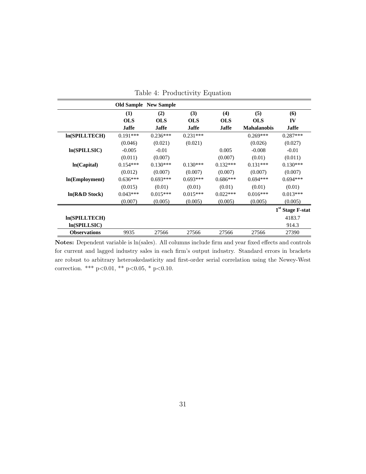|                      |            | <b>Old Sample</b> New Sample |              |              |                    |                              |
|----------------------|------------|------------------------------|--------------|--------------|--------------------|------------------------------|
|                      | (1)        | (2)                          | (3)          | (4)          | (5)                | (6)                          |
|                      | <b>OLS</b> | <b>OLS</b>                   | <b>OLS</b>   | <b>OLS</b>   | <b>OLS</b>         | IV                           |
|                      | Jaffe      | <b>Jaffe</b>                 | <b>Jaffe</b> | <b>Jaffe</b> | <b>Mahalanobis</b> | <b>Jaffe</b>                 |
| <b>In(SPILLTECH)</b> | $0.191***$ | $0.236***$                   | $0.231***$   |              | $0.269***$         | $0.287***$                   |
|                      | (0.046)    | (0.021)                      | (0.021)      |              | (0.026)            | (0.027)                      |
| ln(SPILLSIC)         | $-0.005$   | $-0.01$                      |              | 0.005        | $-0.008$           | $-0.01$                      |
|                      | (0.011)    | (0.007)                      |              | (0.007)      | (0.01)             | (0.011)                      |
| ln(Capital)          | $0.154***$ | $0.130***$                   | $0.130***$   | $0.132***$   | $0.131***$         | $0.130***$                   |
|                      | (0.012)    | (0.007)                      | (0.007)      | (0.007)      | (0.007)            | (0.007)                      |
| ln(Employment)       | $0.636***$ | $0.693***$                   | $0.693***$   | $0.686***$   | $0.694***$         | $0.694***$                   |
|                      | (0.015)    | (0.01)                       | (0.01)       | (0.01)       | (0.01)             | (0.01)                       |
| ln(R&D Stock)        | $0.043***$ | $0.015***$                   | $0.015***$   | $0.022***$   | $0.016***$         | $0.013***$                   |
|                      | (0.007)    | (0.005)                      | (0.005)      | (0.005)      | (0.005)            | (0.005)                      |
|                      |            |                              |              |              |                    | 1 <sup>st</sup> Stage F-stat |
| <b>In(SPILLTECH)</b> |            |                              |              |              |                    | 4183.7                       |
| ln(SPILLSIC)         |            |                              |              |              |                    | 914.3                        |
| <b>Observations</b>  | 9935       | 27566                        | 27566        | 27566        | 27566              | 27390                        |

<span id="page-31-0"></span>Table 4: Productivity Equation

Notes: Dependent variable is ln(sales). All columns include firm and year fixed effects and controls for current and lagged industry sales in each firm's output industry. Standard errors in brackets are robust to arbitrary heteroskedasticity and first-order serial correlation using the Newey-West correction. \*\*\*  $p<0.01$ , \*\*  $p<0.05$ , \*  $p<0.10$ .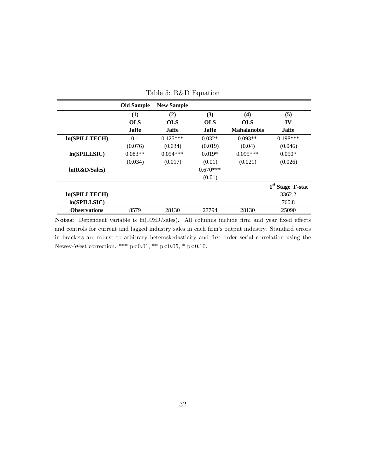|                     | <b>Old Sample</b> | <b>New Sample</b> |              |                    |                    |
|---------------------|-------------------|-------------------|--------------|--------------------|--------------------|
|                     | (1)               | (2)               | (3)          | (4)                | (5)                |
|                     | <b>OLS</b>        | <b>OLS</b>        | <b>OLS</b>   | <b>OLS</b>         | IV                 |
|                     | <b>Jaffe</b>      | <b>Jaffe</b>      | <b>Jaffe</b> | <b>Mahalanobis</b> | <b>Jaffe</b>       |
| ln(SPILLTECH)       | 0.1               | $0.125***$        | $0.032*$     | $0.093**$          | $0.198***$         |
|                     | (0.076)           | (0.034)           | (0.019)      | (0.04)             | (0.046)            |
| ln(SPILLSIC)        | $0.083**$         | $0.054***$        | $0.019*$     | $0.095***$         | $0.050*$           |
|                     | (0.034)           | (0.017)           | (0.01)       | (0.021)            | (0.026)            |
| ln(R&D/Sales)       |                   |                   | $0.670***$   |                    |                    |
|                     |                   |                   | (0.01)       |                    |                    |
|                     |                   |                   |              |                    | $1st$ Stage F-stat |
| ln(SPILLTECH)       |                   |                   |              |                    | 3362.2             |
| ln(SPILLSIC)        |                   |                   |              |                    | 760.8              |
| <b>Observations</b> | 8579              | 28130             | 27794        | 28130              | 25090              |

<span id="page-32-0"></span>Table 5: R&D Equation

Notes: Dependent variable is ln(R&D/sales). All columns include firm and year fixed effects and controls for current and lagged industry sales in each firm's output industry. Standard errors in brackets are robust to arbitrary heteroskedasticity and first-order serial correlation using the Newey-West correction. \*\*\* p<0.01, \*\* p<0.05, \* p<0.10.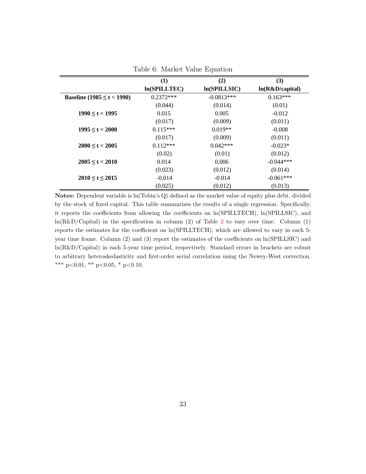|                                 | (1)          | (2)          | (3)             |
|---------------------------------|--------------|--------------|-----------------|
|                                 |              |              |                 |
|                                 | ln(SPILLTEC) | ln(SPILLSIC) | ln(R&D/capital) |
| Baseline (1985 $\leq t$ < 1990) | $0.2372***$  | $-0.0813***$ | $0.163***$      |
|                                 | (0.044)      | (0.014)      | (0.01)          |
| $1990 \le t < 1995$             | 0.015        | 0.005        | $-0.012$        |
|                                 | (0.017)      | (0.009)      | (0.011)         |
| $1995 \le t < 2000$             | $0.115***$   | $0.019**$    | $-0.008$        |
|                                 | (0.017)      | (0.009)      | (0.011)         |
| $2000 \le t < 2005$             | $0.112***$   | $0.042***$   | $-0.023*$       |
|                                 | (0.02)       | (0.01)       | (0.012)         |
| $2005 \le t < 2010$             | 0.014        | 0.006        | $-0.044***$     |
|                                 | (0.023)      | (0.012)      | (0.014)         |
| 2010 < t < 2015                 | $-0.014$     | $-0.014$     | $-0.061***$     |
|                                 | (0.025)      | (0.012)      | (0.013)         |

Table 6: Market Value Equation

Notes: Dependent variable is ln(Tobin's Q) defined as the market value of equity plus debt, divided by the stock of fixed capital. This table summarizes the results of a single regression. Specifically, it reports the coefficients from allowing the coefficients on ln(SPILLTECH), ln(SPILLSIC), and  $ln(R&D/Capital)$  in the specification in column ([2](#page-29-0)) of Table 2 to vary over time. Column (1) reports the estimates for the coefficient on ln(SPILLTECH), which are allowed to vary in each 5 year time frame. Column (2) and (3) report the estimates of the coefficients on ln(SPILLSIC) and ln(R&D/Capital) in each 5-year time period, respectively. Standard errors in brackets are robust to arbitrary heteroskedasticity and first-order serial correlation using the Newey-West correction. \*\*\* p<0.01, \*\* p<0.05, \* p<0.10.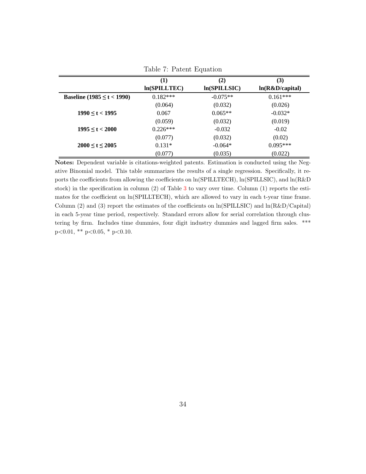|                            | (1)          | (2)          | (3)             |
|----------------------------|--------------|--------------|-----------------|
|                            | ln(SPILLTEC) | ln(SPILLSIC) | ln(R&D/capital) |
| Baseline (1985 ≤ t < 1990) | $0.182***$   | $-0.075**$   | $0.161***$      |
|                            | (0.064)      | (0.032)      | (0.026)         |
| $1990 \le t < 1995$        | 0.067        | $0.065**$    | $-0.032*$       |
|                            | (0.059)      | (0.032)      | (0.019)         |
| $1995 \le t < 2000$        | $0.226***$   | $-0.032$     | $-0.02$         |
|                            | (0.077)      | (0.032)      | (0.02)          |
| $2000 \le t \le 2005$      | $0.131*$     | $-0.064*$    | $0.095***$      |
|                            | (0.077)      | (0.035)      | (0.022)         |

Table 7: Patent Equation

Notes: Dependent variable is citations-weighted patents. Estimation is conducted using the Negative Binomial model. This table summarizes the results of a single regression. Specifically, it reports the coefficients from allowing the coefficients on ln(SPILLTECH), ln(SPILLSIC), and ln(R&D stock) in the specification in column (2) of Table [3](#page-30-0) to vary over time. Column (1) reports the estimates for the coefficient on ln(SPILLTECH), which are allowed to vary in each t-year time frame. Column  $(2)$  and  $(3)$  report the estimates of the coefficients on  $\ln(SPILLSIC)$  and  $\ln(R\&D/Capital)$ in each 5-year time period, respectively. Standard errors allow for serial correlation through clustering by firm. Includes time dummies, four digit industry dummies and lagged firm sales. \*\*\*  $p<0.01$ , \*\*  $p<0.05$ , \*  $p<0.10$ .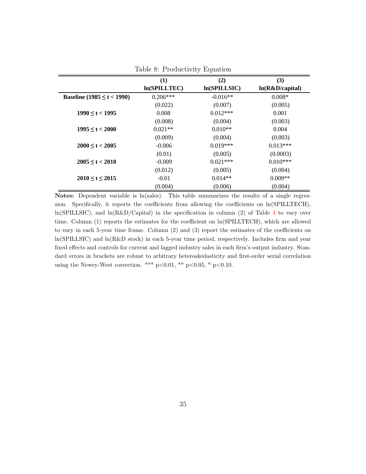|                                 | (1)          | (2)          | (3)             |
|---------------------------------|--------------|--------------|-----------------|
|                                 | ln(SPILLTEC) | ln(SPILLSIC) | ln(R&D/capital) |
| Baseline (1985 $\leq t$ < 1990) | $0.206***$   | $-0.016**$   | $0.008*$        |
|                                 | (0.022)      | (0.007)      | (0.005)         |
| $1990 \le t < 1995$             | 0.008        | $0.012***$   | 0.001           |
|                                 | (0.008)      | (0.004)      | (0.003)         |
| $1995 \le t < 2000$             | $0.021**$    | $0.010**$    | 0.004           |
|                                 | (0.009)      | (0.004)      | (0.003)         |
| $2000 \le t < 2005$             | $-0.006$     | $0.019***$   | $0.013***$      |
|                                 | (0.01)       | (0.005)      | (0.0003)        |
| $2005 \le t < 2010$             | $-0.009$     | $0.021***$   | $0.010***$      |
|                                 | (0.012)      | (0.005)      | (0.004)         |
| 2010 < t < 2015                 | $-0.01$      | $0.014**$    | $0.009**$       |
|                                 | (0.004)      | (0.006)      | (0.004)         |

<span id="page-35-0"></span>Table 8: Productivity Equation

Notes: Dependent variable is ln(sales). This table summarizes the results of a single regression. Specifically, it reports the coefficients from allowing the coefficients on ln(SPILLTECH),  $ln(SPILLSIC)$ , and  $ln(R&D/Capital)$  in the specification in column (2) of Table [4](#page-31-0) to vary over time. Column (1) reports the estimates for the coefficient on ln(SPILLTECH), which are allowed to vary in each 5-year time frame. Column (2) and (3) report the estimates of the coefficients on ln(SPILLSIC) and ln(R&D stock) in each 5-year time period, respectively. Includes firm and year fixed effects and controls for current and lagged industry sales in each firm's output industry. Standard errors in brackets are robust to arbitrary heteroskedasticity and first-order serial correlation using the Newey-West correction. \*\*\* p<0.01, \*\* p<0.05, \* p<0.10.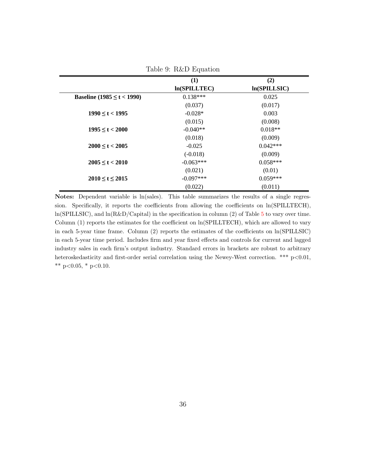|                                | (1)          | (2)          |
|--------------------------------|--------------|--------------|
|                                | ln(SPILLTEC) | ln(SPILLSIC) |
| Baseline $(1985 \le t < 1990)$ | $0.138***$   | 0.025        |
|                                | (0.037)      | (0.017)      |
| $1990 \le t < 1995$            | $-0.028*$    | 0.003        |
|                                | (0.015)      | (0.008)      |
| $1995 \le t < 2000$            | $-0.040**$   | $0.018**$    |
|                                | (0.018)      | (0.009)      |
| $2000 \le t < 2005$            | $-0.025$     | $0.042***$   |
|                                | $(-0.018)$   | (0.009)      |
| $2005 \le t \le 2010$          | $-0.063***$  | $0.058***$   |
|                                | (0.021)      | (0.01)       |
| 2010 < t < 2015                | $-0.097***$  | $0.059***$   |
|                                | (0.022)      | (0.011)      |

Notes: Dependent variable is ln(sales). This table summarizes the results of a single regression. Specifically, it reports the coefficients from allowing the coefficients on ln(SPILLTECH),  $ln(SPILLSIC)$ , and  $ln(R&D/Capital)$  in the specification in column (2) of Table [5](#page-32-0) to vary over time. Column (1) reports the estimates for the coefficient on ln(SPILLTECH), which are allowed to vary in each 5-year time frame. Column (2) reports the estimates of the coefficients on ln(SPILLSIC) in each 5-year time period. Includes firm and year fixed effects and controls for current and lagged industry sales in each firm's output industry. Standard errors in brackets are robust to arbitrary heteroskedasticity and first-order serial correlation using the Newey-West correction. \*\*\* p<0.01, \*\* p<0.05, \* p<0.10.

### $Table 9: RkD Equation$